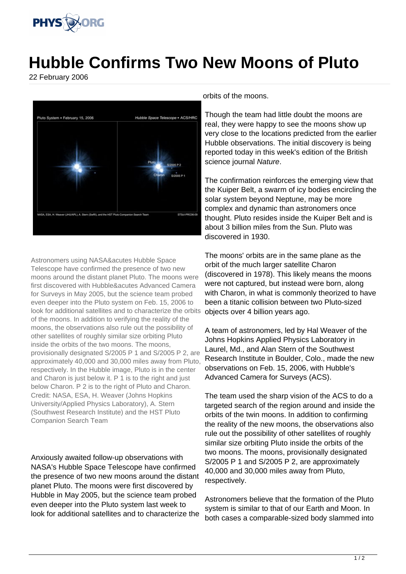

## **Hubble Confirms Two New Moons of Pluto**

22 February 2006



Astronomers using NASA&acutes Hubble Space Telescope have confirmed the presence of two new moons around the distant planet Pluto. The moons were first discovered with Hubble&acutes Advanced Camera for Surveys in May 2005, but the science team probed even deeper into the Pluto system on Feb. 15, 2006 to look for additional satellites and to characterize the orbits of the moons. In addition to verifying the reality of the moons, the observations also rule out the possibility of other satellites of roughly similar size orbiting Pluto inside the orbits of the two moons. The moons, provisionally designated S/2005 P 1 and S/2005 P 2, are approximately 40,000 and 30,000 miles away from Pluto, respectively. In the Hubble image, Pluto is in the center and Charon is just below it. P 1 is to the right and just below Charon. P 2 is to the right of Pluto and Charon. Credit: NASA, ESA, H. Weaver (Johns Hopkins University/Applied Physics Laboratory), A. Stern (Southwest Research Institute) and the HST Pluto Companion Search Team

Anxiously awaited follow-up observations with NASA's Hubble Space Telescope have confirmed the presence of two new moons around the distant planet Pluto. The moons were first discovered by Hubble in May 2005, but the science team probed even deeper into the Pluto system last week to look for additional satellites and to characterize the

orbits of the moons.

Though the team had little doubt the moons are real, they were happy to see the moons show up very close to the locations predicted from the earlier Hubble observations. The initial discovery is being reported today in this week's edition of the British science journal Nature.

The confirmation reinforces the emerging view that the Kuiper Belt, a swarm of icy bodies encircling the solar system beyond Neptune, may be more complex and dynamic than astronomers once thought. Pluto resides inside the Kuiper Belt and is about 3 billion miles from the Sun. Pluto was discovered in 1930.

The moons' orbits are in the same plane as the orbit of the much larger satellite Charon (discovered in 1978). This likely means the moons were not captured, but instead were born, along with Charon, in what is commonly theorized to have been a titanic collision between two Pluto-sized objects over 4 billion years ago.

A team of astronomers, led by Hal Weaver of the Johns Hopkins Applied Physics Laboratory in Laurel, Md., and Alan Stern of the Southwest Research Institute in Boulder, Colo., made the new observations on Feb. 15, 2006, with Hubble's Advanced Camera for Surveys (ACS).

The team used the sharp vision of the ACS to do a targeted search of the region around and inside the orbits of the twin moons. In addition to confirming the reality of the new moons, the observations also rule out the possibility of other satellites of roughly similar size orbiting Pluto inside the orbits of the two moons. The moons, provisionally designated S/2005 P 1 and S/2005 P 2, are approximately 40,000 and 30,000 miles away from Pluto, respectively.

Astronomers believe that the formation of the Pluto system is similar to that of our Earth and Moon. In both cases a comparable-sized body slammed into